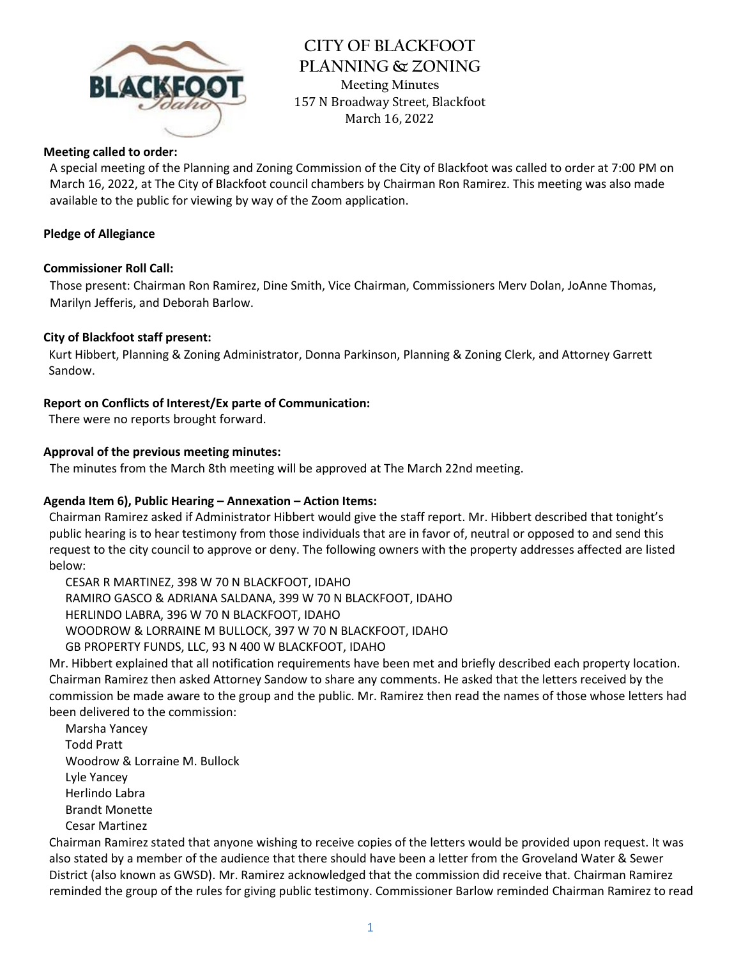

**CITY OF BLACKFOOT PLANNING & ZONING Meeting Minutes** 157 N Broadway Street, Blackfoot March 16, 2022

## **Meeting called to order:**

A special meeting of the Planning and Zoning Commission of the City of Blackfoot was called to order at 7:00 PM on March 16, 2022, at The City of Blackfoot council chambers by Chairman Ron Ramirez. This meeting was also made available to the public for viewing by way of the Zoom application.

## **Pledge of Allegiance**

#### **Commissioner Roll Call:**

Those present: Chairman Ron Ramirez, Dine Smith, Vice Chairman, Commissioners Merv Dolan, JoAnne Thomas, Marilyn Jefferis, and Deborah Barlow.

## **City of Blackfoot staff present:**

Kurt Hibbert, Planning & Zoning Administrator, Donna Parkinson, Planning & Zoning Clerk, and Attorney Garrett Sandow.

#### **Report on Conflicts of Interest/Ex parte of Communication:**

There were no reports brought forward.

#### **Approval of the previous meeting minutes:**

The minutes from the March 8th meeting will be approved at The March 22nd meeting.

## **Agenda Item 6), Public Hearing – Annexation – Action Items:**

Chairman Ramirez asked if Administrator Hibbert would give the staff report. Mr. Hibbert described that tonight's public hearing is to hear testimony from those individuals that are in favor of, neutral or opposed to and send this request to the city council to approve or deny. The following owners with the property addresses affected are listed below:

CESAR R MARTINEZ, 398 W 70 N BLACKFOOT, IDAHO RAMIRO GASCO & ADRIANA SALDANA, 399 W 70 N BLACKFOOT, IDAHO HERLINDO LABRA, 396 W 70 N BLACKFOOT, IDAHO WOODROW & LORRAINE M BULLOCK, 397 W 70 N BLACKFOOT, IDAHO GB PROPERTY FUNDS, LLC, 93 N 400 W BLACKFOOT, IDAHO

Mr. Hibbert explained that all notification requirements have been met and briefly described each property location. Chairman Ramirez then asked Attorney Sandow to share any comments. He asked that the letters received by the commission be made aware to the group and the public. Mr. Ramirez then read the names of those whose letters had been delivered to the commission:

Marsha Yancey Todd Pratt Woodrow & Lorraine M. Bullock Lyle Yancey Herlindo Labra Brandt Monette Cesar Martinez

Chairman Ramirez stated that anyone wishing to receive copies of the letters would be provided upon request. It was also stated by a member of the audience that there should have been a letter from the Groveland Water & Sewer District (also known as GWSD). Mr. Ramirez acknowledged that the commission did receive that. Chairman Ramirez reminded the group of the rules for giving public testimony. Commissioner Barlow reminded Chairman Ramirez to read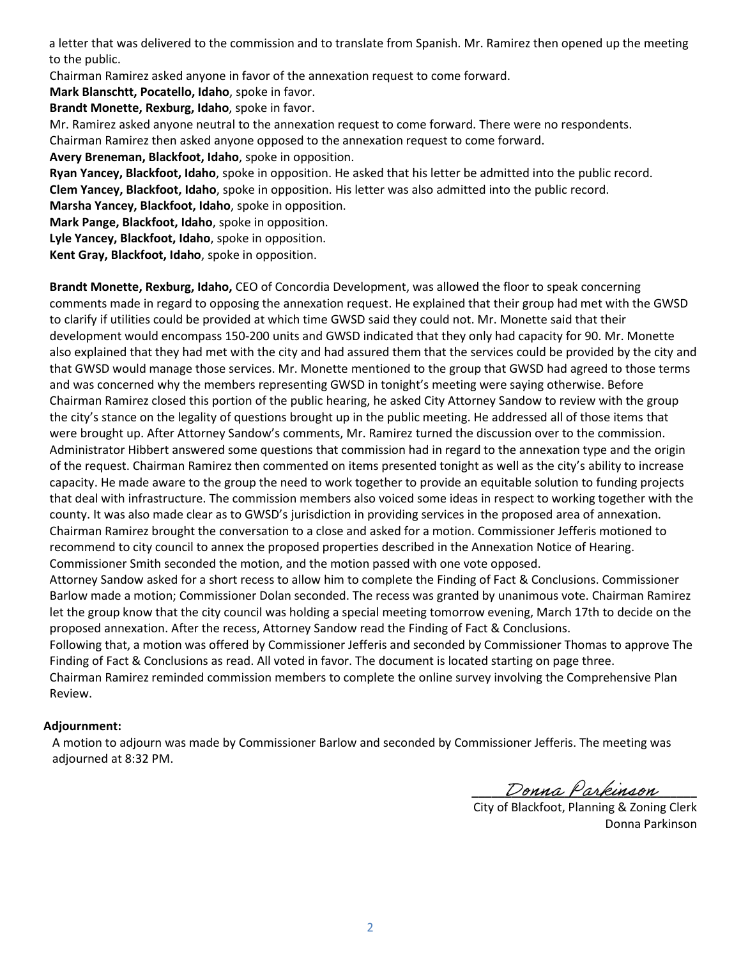a letter that was delivered to the commission and to translate from Spanish. Mr. Ramirez then opened up the meeting to the public.

Chairman Ramirez asked anyone in favor of the annexation request to come forward.

**Mark Blanschtt, Pocatello, Idaho**, spoke in favor.

**Brandt Monette, Rexburg, Idaho**, spoke in favor.

Mr. Ramirez asked anyone neutral to the annexation request to come forward. There were no respondents.

Chairman Ramirez then asked anyone opposed to the annexation request to come forward.

**Avery Breneman, Blackfoot, Idaho**, spoke in opposition.

**Ryan Yancey, Blackfoot, Idaho**, spoke in opposition. He asked that his letter be admitted into the public record.

**Clem Yancey, Blackfoot, Idaho**, spoke in opposition. His letter was also admitted into the public record.

**Marsha Yancey, Blackfoot, Idaho**, spoke in opposition.

**Mark Pange, Blackfoot, Idaho**, spoke in opposition.

**Lyle Yancey, Blackfoot, Idaho**, spoke in opposition.

**Kent Gray, Blackfoot, Idaho**, spoke in opposition.

**Brandt Monette, Rexburg, Idaho,** CEO of Concordia Development, was allowed the floor to speak concerning comments made in regard to opposing the annexation request. He explained that their group had met with the GWSD to clarify if utilities could be provided at which time GWSD said they could not. Mr. Monette said that their development would encompass 150-200 units and GWSD indicated that they only had capacity for 90. Mr. Monette also explained that they had met with the city and had assured them that the services could be provided by the city and that GWSD would manage those services. Mr. Monette mentioned to the group that GWSD had agreed to those terms and was concerned why the members representing GWSD in tonight's meeting were saying otherwise. Before Chairman Ramirez closed this portion of the public hearing, he asked City Attorney Sandow to review with the group the city's stance on the legality of questions brought up in the public meeting. He addressed all of those items that were brought up. After Attorney Sandow's comments, Mr. Ramirez turned the discussion over to the commission. Administrator Hibbert answered some questions that commission had in regard to the annexation type and the origin of the request. Chairman Ramirez then commented on items presented tonight as well as the city's ability to increase capacity. He made aware to the group the need to work together to provide an equitable solution to funding projects that deal with infrastructure. The commission members also voiced some ideas in respect to working together with the county. It was also made clear as to GWSD's jurisdiction in providing services in the proposed area of annexation. Chairman Ramirez brought the conversation to a close and asked for a motion. Commissioner Jefferis motioned to recommend to city council to annex the proposed properties described in the Annexation Notice of Hearing. Commissioner Smith seconded the motion, and the motion passed with one vote opposed.

Attorney Sandow asked for a short recess to allow him to complete the Finding of Fact & Conclusions. Commissioner Barlow made a motion; Commissioner Dolan seconded. The recess was granted by unanimous vote. Chairman Ramirez let the group know that the city council was holding a special meeting tomorrow evening, March 17th to decide on the proposed annexation. After the recess, Attorney Sandow read the Finding of Fact & Conclusions.

Following that, a motion was offered by Commissioner Jefferis and seconded by Commissioner Thomas to approve The Finding of Fact & Conclusions as read. All voted in favor. The document is located starting on page three.

Chairman Ramirez reminded commission members to complete the online survey involving the Comprehensive Plan Review.

## **Adjournment:**

A motion to adjourn was made by Commissioner Barlow and seconded by Commissioner Jefferis. The meeting was adjourned at 8:32 PM.

**\_\_\_\_\_\_\_\_\_\_\_\_\_\_\_\_\_\_\_\_\_\_\_\_\_\_\_\_\_\_\_\_\_\_**

 City of Blackfoot, Planning & Zoning Clerk Donna Parkinson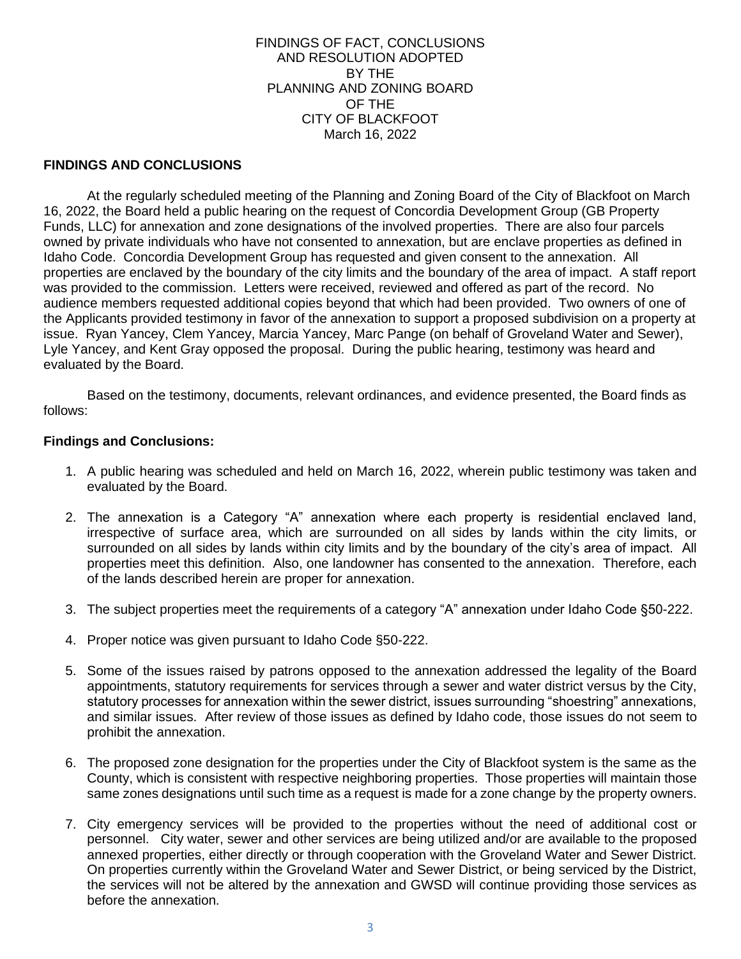FINDINGS OF FACT, CONCLUSIONS AND RESOLUTION ADOPTED BY THE PLANNING AND ZONING BOARD OF THE CITY OF BLACKFOOT March 16, 2022

## **FINDINGS AND CONCLUSIONS**

At the regularly scheduled meeting of the Planning and Zoning Board of the City of Blackfoot on March 16, 2022, the Board held a public hearing on the request of Concordia Development Group (GB Property Funds, LLC) for annexation and zone designations of the involved properties. There are also four parcels owned by private individuals who have not consented to annexation, but are enclave properties as defined in Idaho Code. Concordia Development Group has requested and given consent to the annexation. All properties are enclaved by the boundary of the city limits and the boundary of the area of impact. A staff report was provided to the commission. Letters were received, reviewed and offered as part of the record. No audience members requested additional copies beyond that which had been provided. Two owners of one of the Applicants provided testimony in favor of the annexation to support a proposed subdivision on a property at issue. Ryan Yancey, Clem Yancey, Marcia Yancey, Marc Pange (on behalf of Groveland Water and Sewer), Lyle Yancey, and Kent Gray opposed the proposal. During the public hearing, testimony was heard and evaluated by the Board.

Based on the testimony, documents, relevant ordinances, and evidence presented, the Board finds as follows:

#### **Findings and Conclusions:**

- 1. A public hearing was scheduled and held on March 16, 2022, wherein public testimony was taken and evaluated by the Board.
- 2. The annexation is a Category "A" annexation where each property is residential enclaved land, irrespective of surface area, which are surrounded on all sides by lands within the city limits, or surrounded on all sides by lands within city limits and by the boundary of the city's area of impact. All properties meet this definition. Also, one landowner has consented to the annexation. Therefore, each of the lands described herein are proper for annexation.
- 3. The subject properties meet the requirements of a category "A" annexation under Idaho Code §50-222.
- 4. Proper notice was given pursuant to Idaho Code §50-222.
- 5. Some of the issues raised by patrons opposed to the annexation addressed the legality of the Board appointments, statutory requirements for services through a sewer and water district versus by the City, statutory processes for annexation within the sewer district, issues surrounding "shoestring" annexations, and similar issues. After review of those issues as defined by Idaho code, those issues do not seem to prohibit the annexation.
- 6. The proposed zone designation for the properties under the City of Blackfoot system is the same as the County, which is consistent with respective neighboring properties. Those properties will maintain those same zones designations until such time as a request is made for a zone change by the property owners.
- 7. City emergency services will be provided to the properties without the need of additional cost or personnel. City water, sewer and other services are being utilized and/or are available to the proposed annexed properties, either directly or through cooperation with the Groveland Water and Sewer District. On properties currently within the Groveland Water and Sewer District, or being serviced by the District, the services will not be altered by the annexation and GWSD will continue providing those services as before the annexation.